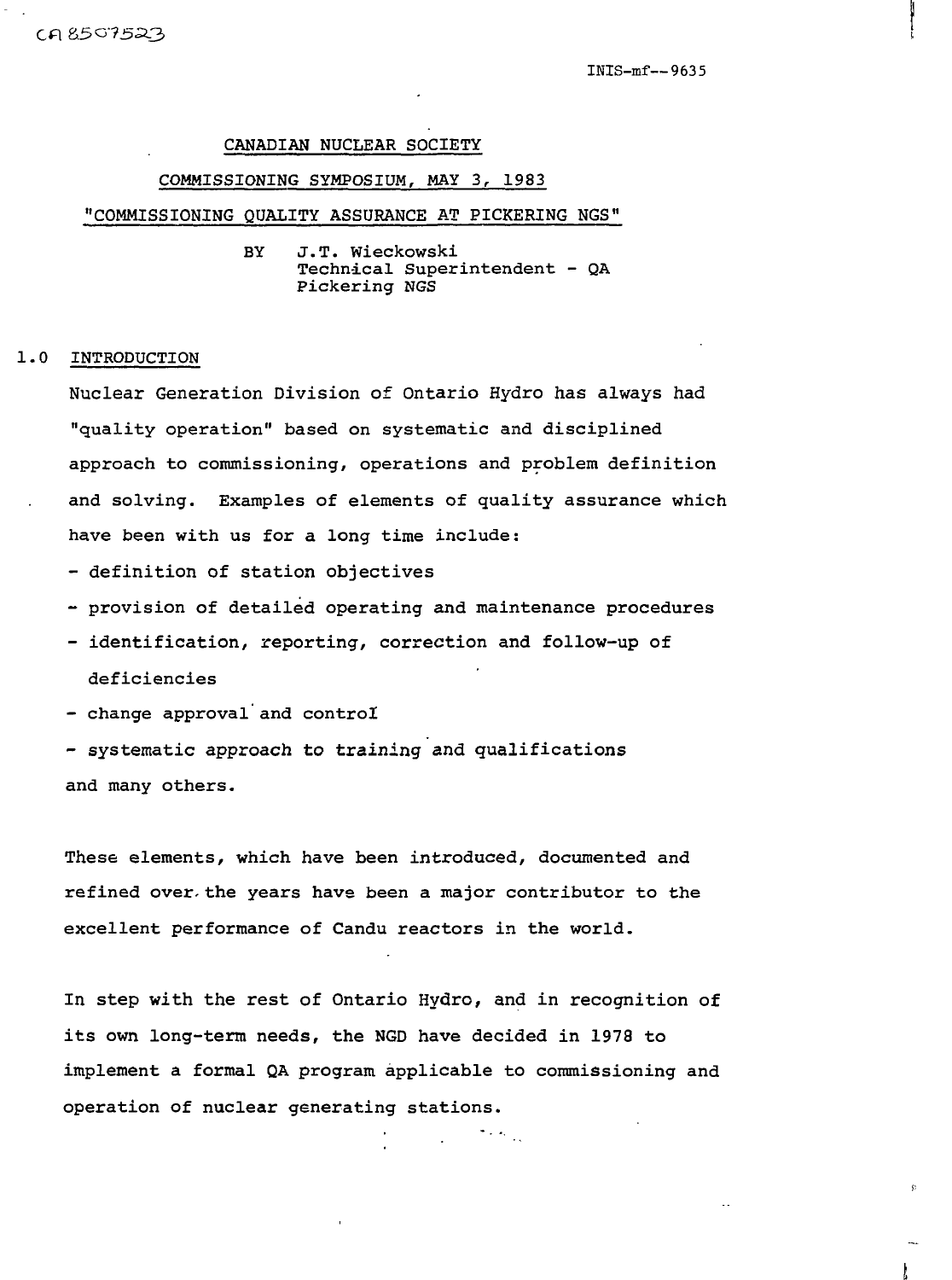INIS-mf—9635

#### CANADIAN NUCLEAR SOCIETY

#### COMMISSIONING SYMPOSIUM, MAY 3, 1983

#### "COMMISSIONING QUALITY ASSURANCE AT PICKERING NGS"

BY J.T. Wieckowski Technical Superintendent - QA Pickering NGS

#### 1.0 INTRODUCTION

Nuclear Generation Division of Ontario Hydro has always had "quality operation" based on systematic and disciplined approach to commissioning, operations and problem definition and solving. Examples of elements of quality assurance which have been with us for a long time include:

- definition of station objectives
- provision of detailed operating and maintenance procedures
- identification, reporting, correction and follow-up of deficiencies
- change approval and control

- systematic approach to training and qualifications and many others.

These elements, which have been introduced, documented and refined over- the years have been a major contributor to the excellent performance of Candu reactors in the world.

In step with the rest of Ontario Hydro, and in recognition of its own long-term needs, the NGD have decided in 1978 to implement a formal QA program applicable to commissioning and operation of nuclear generating stations.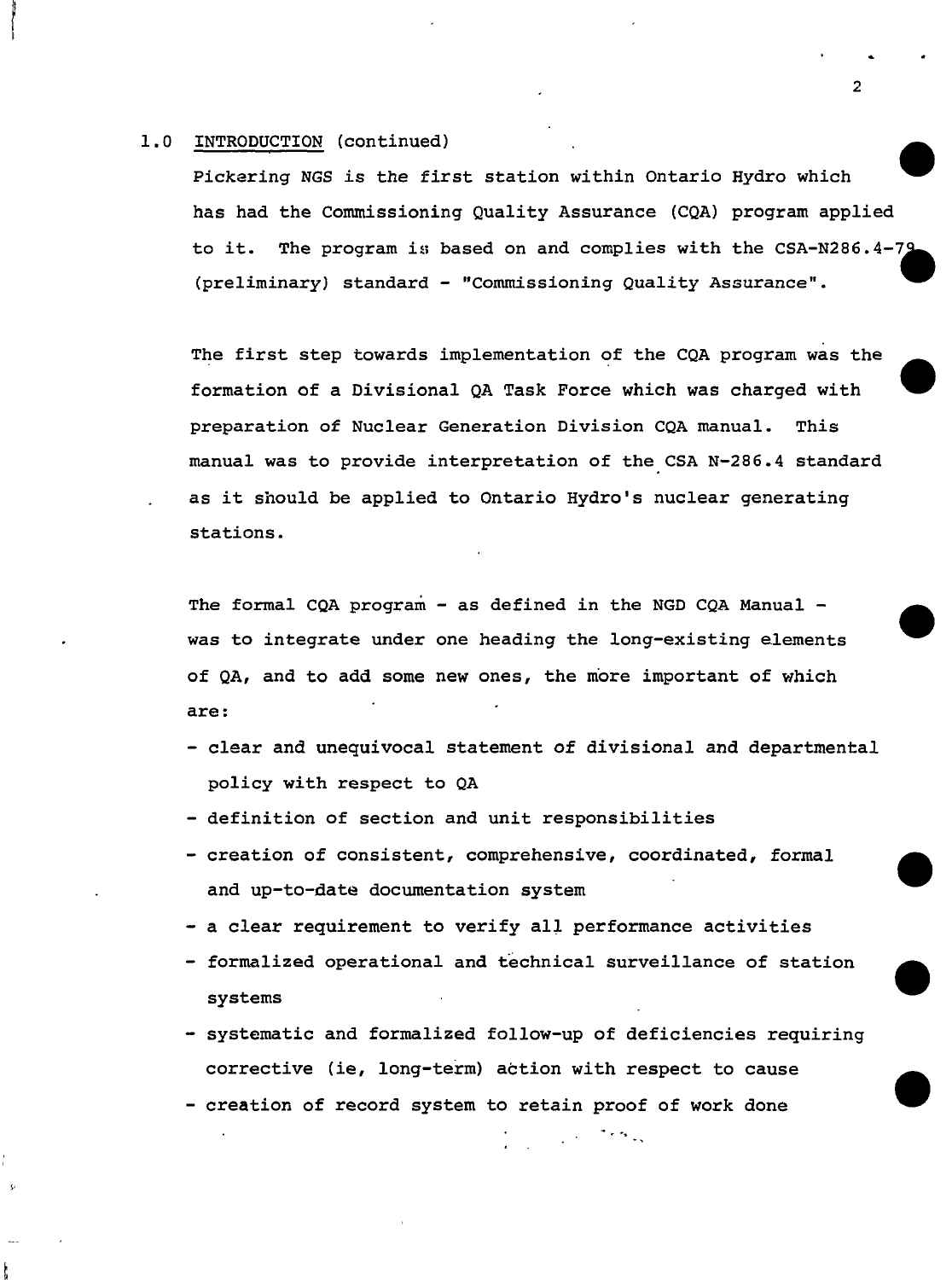#### 1.0 INTRODUCTION (continued)

Pickering NGS is the first station within Ontario Hydro which has had the Commissioning Quality Assurance (CQA) program applied to it. The program is based on and complies with the CSA-N286.4-79 (preliminary) standard - "Commissioning Quality Assurance".

The first step towards implementation of the CQA program was the formation of a Divisional QA Task Force which was charged with preparation of Nuclear Generation Division CQA manual. This manual was to provide interpretation of the CSA N-286.4 standard as it should be applied to Ontario Hydro's nuclear generating stations.

The formal CQA program - as defined in the NGD CQA Manual was to integrate under one heading the long-existing elements of QA, and to add some new ones, the more important of which are :

- clear and unequivocal statement of divisional and departmental policy with respect to QA
- definition of section and unit responsibilities
- creation of consistent, comprehensive, coordinated, formal and up-to-date documentation system
- a clear requirement to verify all performance activities
- formalized operational and technical surveillance of station systems
- systematic and formalized follow-up of deficiencies requiring corrective (ie, long-term) action with respect to cause
- creation of record system to retain proof of work done

 $\overline{2}$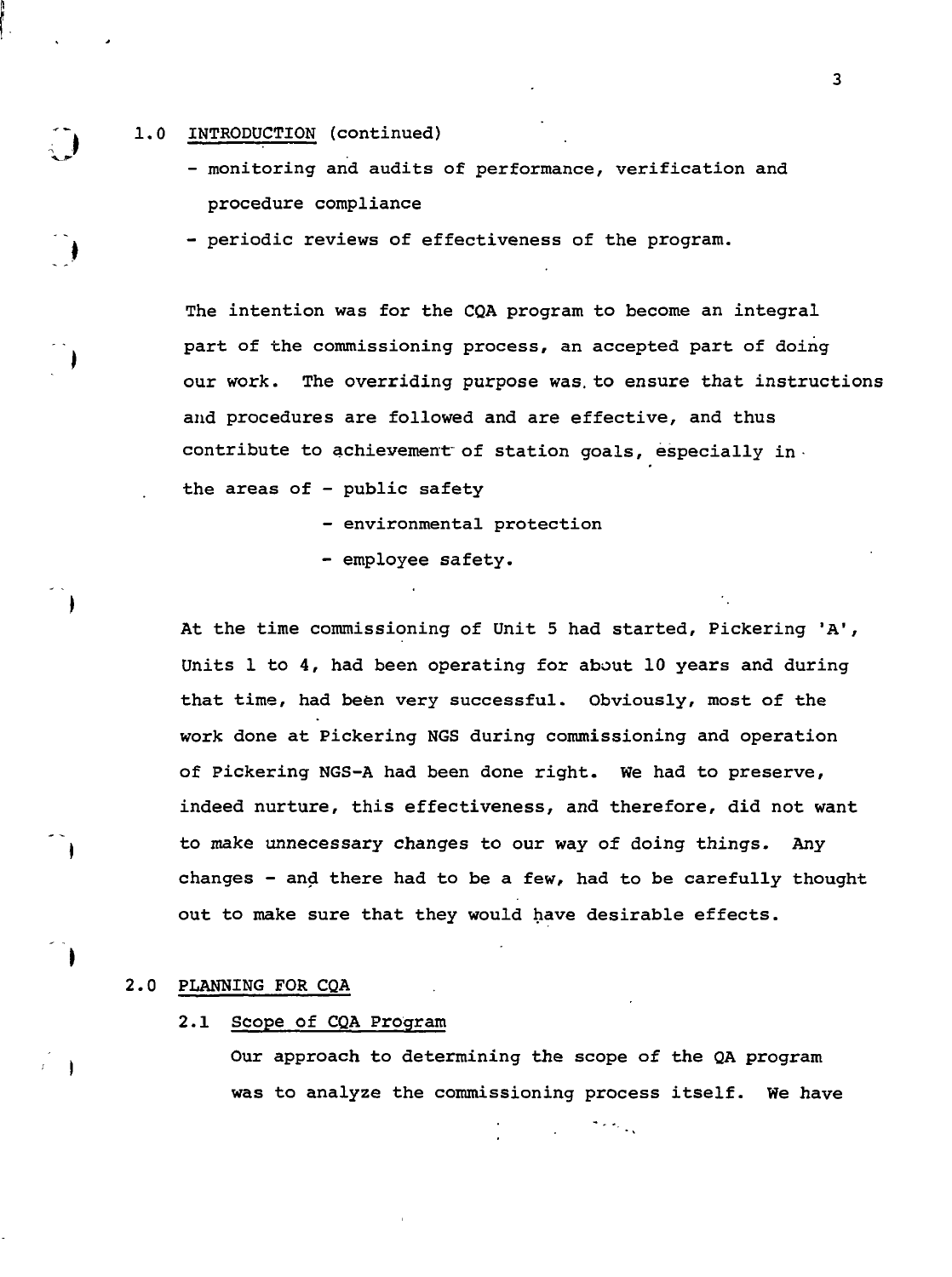#### 1.0 INTRODUCTION (continued)

- monitoring and audits of performance, verification and procedure compliance

- periodic reviews of effectiveness of the program.

The intention was for the CQA program to become an integral part of the commissioning process, an accepted part of doing our work. The overriding purpose was. to ensure that instructions and procedures are followed and are effective, and thus contribute to achievement of station goals, especially inthe areas of - public safety

- environmental protection
- employee safety.

At the time commissioning of Unit 5 had started, Pickering 'A<sup>1</sup>, Units 1 to 4, had been operating for about 10 years and during that time, had been very successful. Obviously, most of the work done at Pickering NGS during commissioning and operation of Pickering NGS-A had been done right. We had to preserve, indeed nurture, this effectiveness, and therefore, did not want to make unnecessary changes to our way of doing things. Any changes - and there had to be a few, had to be carefully thought out to make sure that they would have desirable effects.

#### 2.0 PLANNING FOR CQA

#### 2.1 Scope of CQA Program

Our approach to determining the scope of the QA program was to analyze the commissioning process itself. We have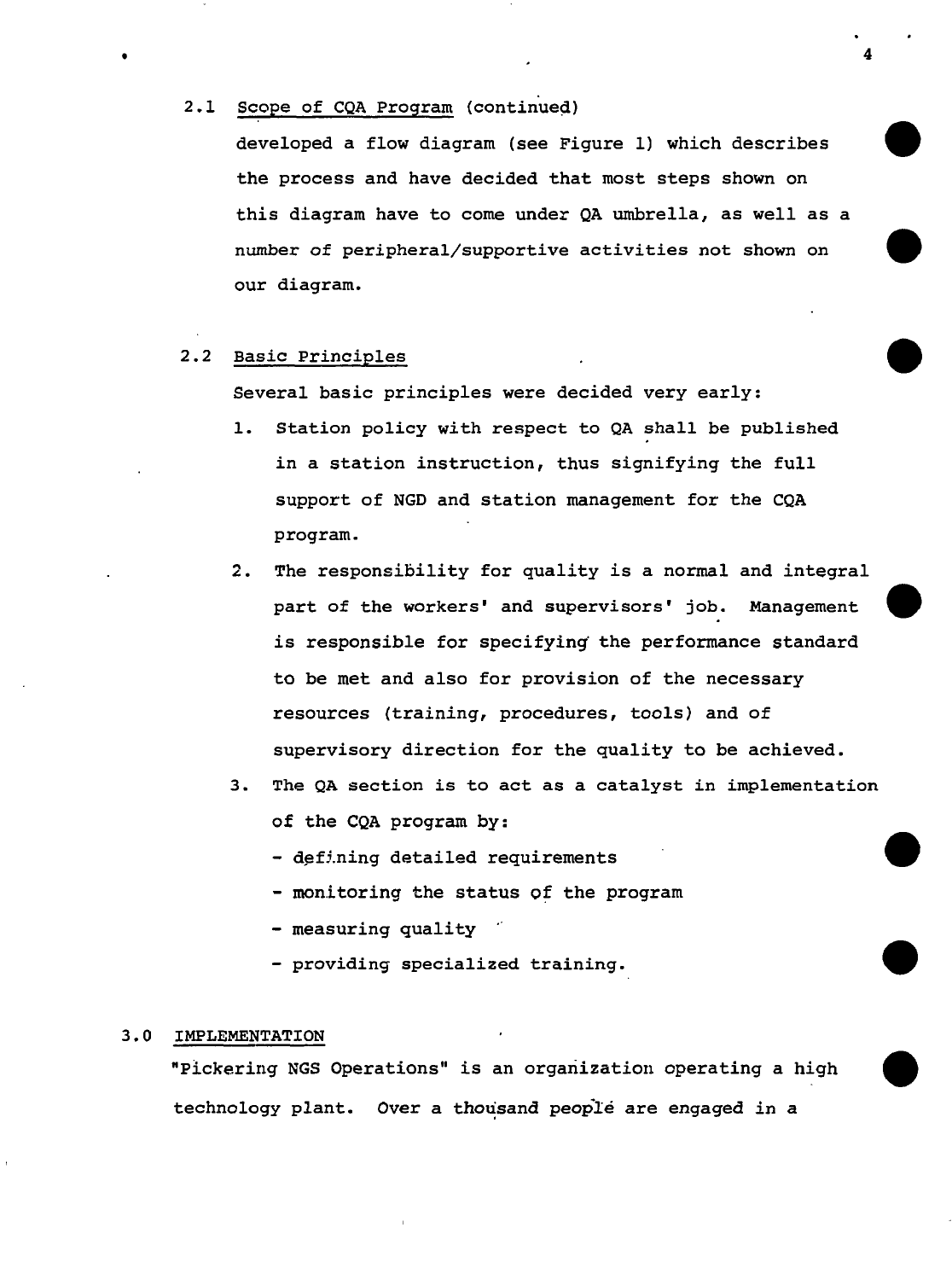### 2.1 Scope of CQA Program (continued)

developed a flow diagram (see Figure 1) which describes the process and have decided that most steps shown on this diagram have to come under QA umbrella, as well as a number of peripheral/supportive activities not shown on our diagram.

### 2.2 Basic Principles

Several basic principles were decided very early:

- 1. Station policy with respect to QA shall be published in a station instruction, thus signifying the full support of NGD and station management for the CQA program.
- 2. The responsibility for quality is a normal and integral part of the workers' and supervisors' job. Management is responsible for specifying' the performance standard to be met and also for provision of the necessary resources (training, procedures, tools) and of supervisory direction for the quality to be achieved.
- 3. The QA section is to act as a catalyst in implementation of the CQA program by:
	- defining detailed requirements
	- monitoring the status of the program
	- measuring quality
	- providing specialized training.

# 3.0 IMPLEMENTATION

"Pickering NGS Operations" is an organization operating a high technology plant. Over a thousand people are engaged in a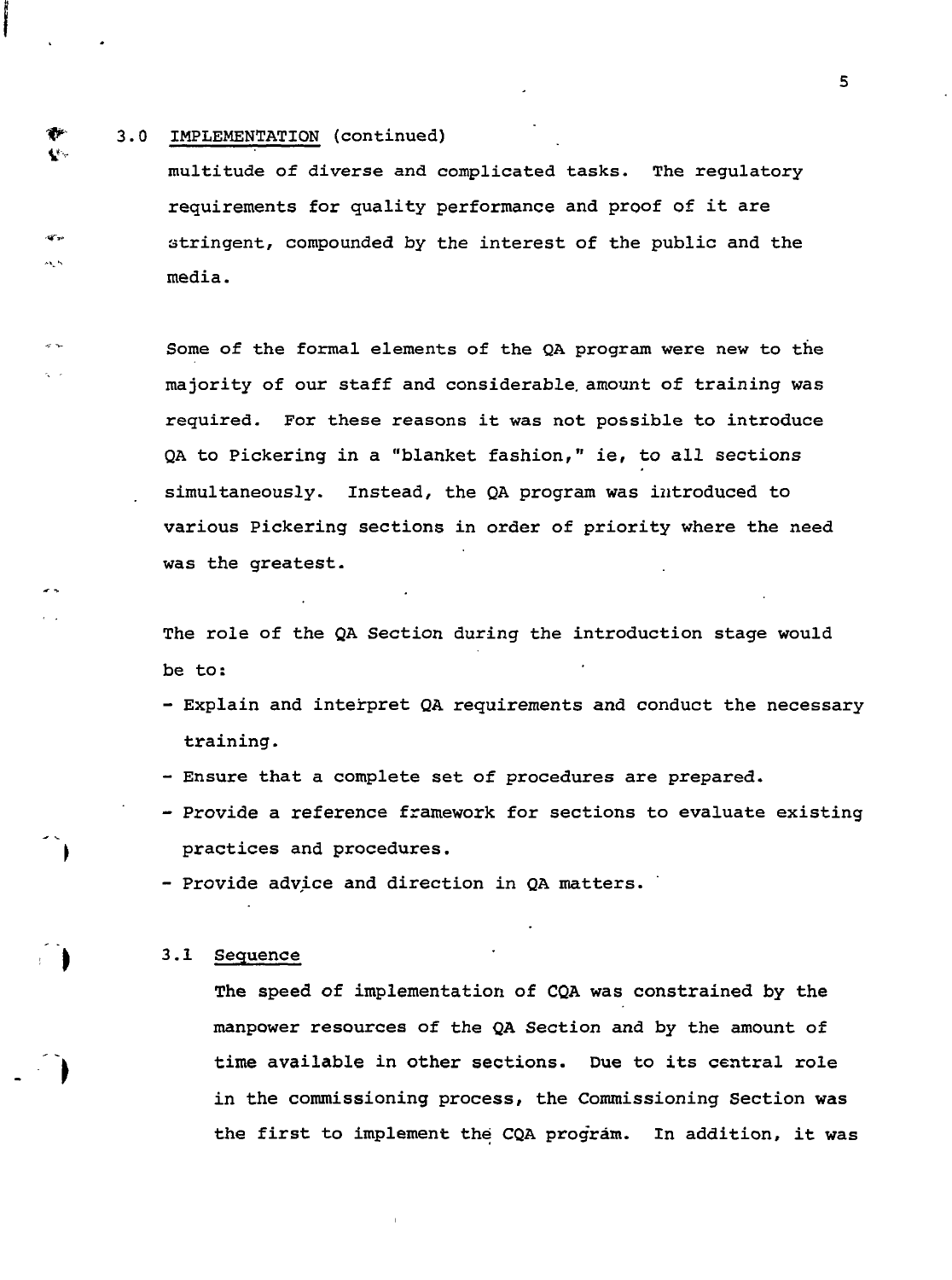#### 3.0 IMPLEMENTATION (continued)

₩  $\mathbf{V}^{\mathrm{c}}$  .

 $x \rightarrow$  $\sim$ 

multitude of diverse and complicated tasks. The regulatoryrequirements for quality performance and proof of it are stringent, compounded by the interest of the public and the media.

Some of the formal elements of the QA program were new to the majority of our staff and considerable, amount of training was required. For these reasons it was not possible to introduce QA to Pickering in a "blanket fashion," ie, to all sections simultaneously. Instead, the QA program was introduced to various Pickering sections in order of priority where the need was the greatest.

The role of the QA Section during the introduction stage would be to:

- Explain and interpret QA requirements and conduct the necessary training.
- Ensure that a complete set of procedures are prepared.
- Provide a reference framework for sections to evaluate existing practices and procedures.
- Provide advice and direction in QA matters.

#### 3.1 Sequence

The speed of implementation of CQA was constrained by the manpower resources of the QA Section and by the amount of time available in other sections. Due to its central role in the commissioning process, the Commissioning Section was the first to implement the CQA program. In addition, it was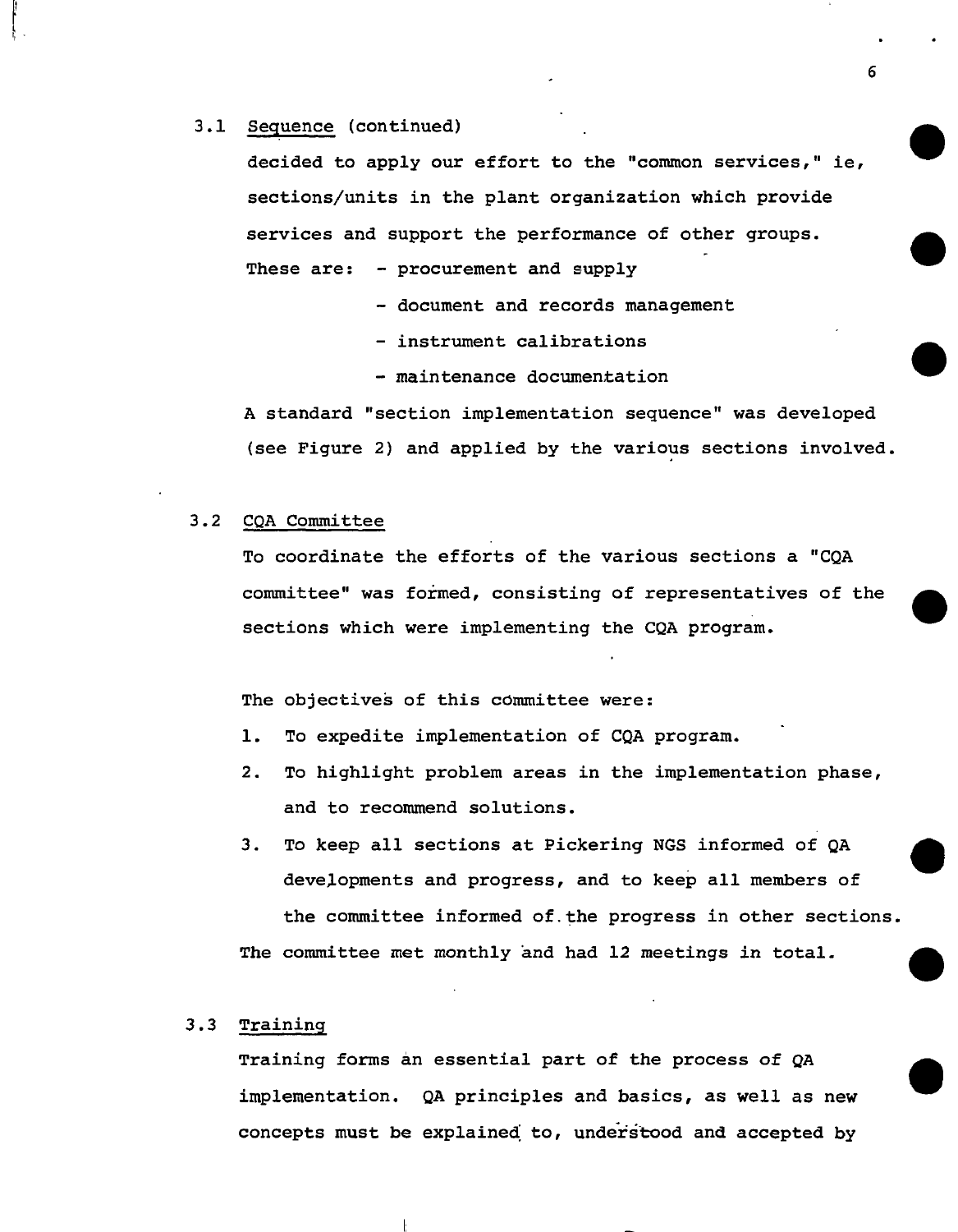#### 3.1 Sequence (continued)

decided to apply our effort to the "common services," ie, sections/units in the plant organization which provide services and support the performance of other groups. These are: - procurement and supply

- document and records management

- instrument calibrations
- maintenance documentation

A standard "section implementation sequence" was developed (see Figure 2) and applied by the various sections involved.

#### 3.2 CQA Committee

To coordinate the efforts of the various sections a "CQA committee" was formed, consisting of representatives of the sections which were implementing the CQA program.

The objectives of this committee were:

- 1. To expedite implementation of CQA program.
- 2. To highlight problem areas in the implementation phase, and to recommend solutions.
- 3. To keep all sections at Pickering NGS informed of QA developments and progress, and to keep all members of the committee informed of. the progress in other sections. The committee met monthly and had 12 meetings in total.

### 3.3 Training

Training forms an essential part of the process of QA implementation. QA principles and basics, as well as new concepts must be explained to, understood and accepted by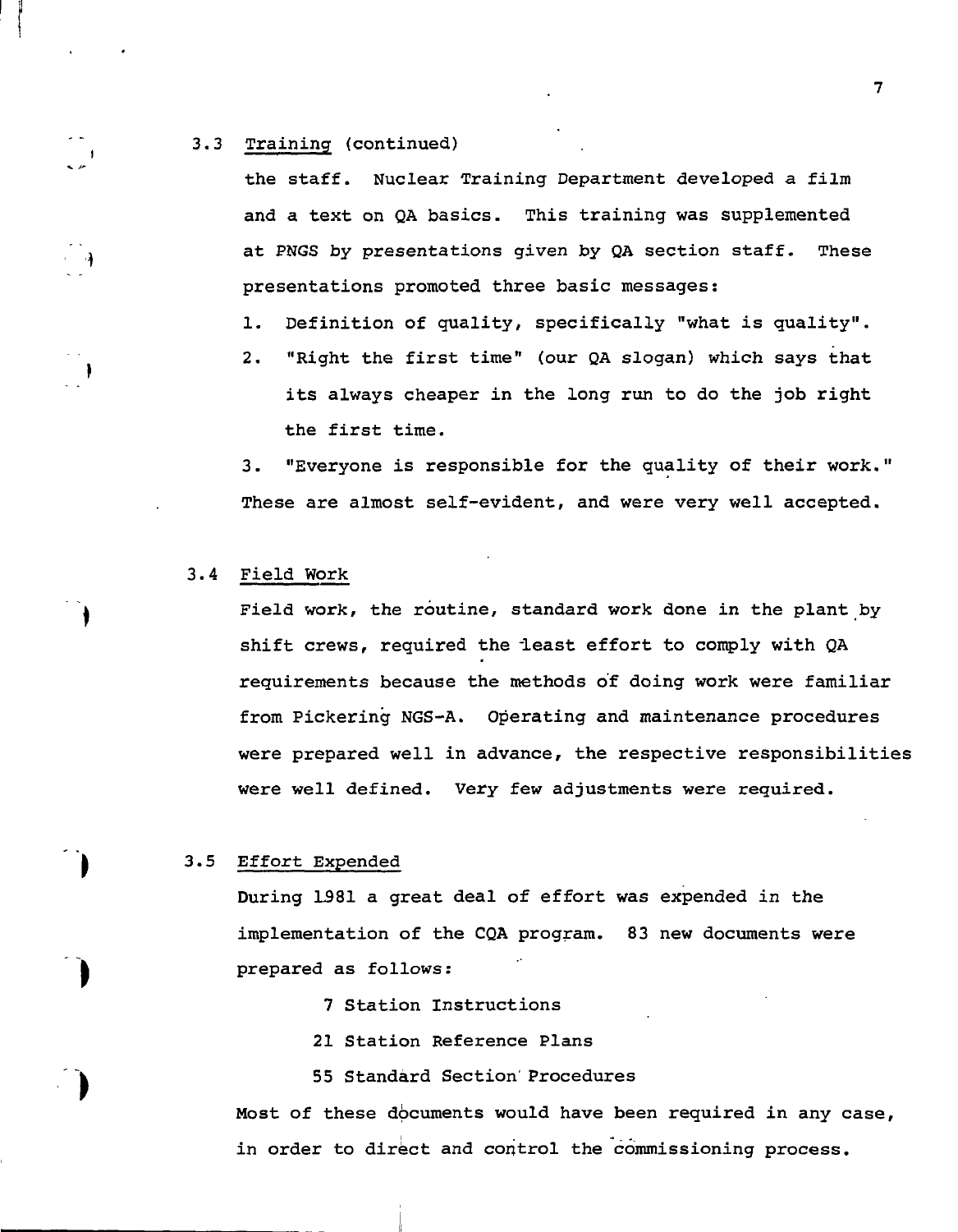#### 3.3 Training (continued)

 $\sim$ 

ം എ

the staff. Nuclear Training Department developed a film and a text on QA basics. This training was supplemented at PNGS by presentations given by QA section staff. These presentations promoted three basic messages:

1. Definition of quality, specifically "what is quality".

2. "Right the first time" (our QA slogan) which says that its always cheaper in the long run to do the job right the first time.

3. "Everyone is responsible for the quality of their work." These are almost self-evident, and were very well accepted.

# 3.4 Field Work

Field work, the routine, standard work done in the plant by shift crews, required the least effort to comply with QA requirements because the methods of doing work were familiar from Pickering NGS-A. Operating and maintenance procedures were prepared well in advance, the respective responsibilities were well defined. Very few adjustments were required.

### 3.5 Effort Expended

During 1381 a great deal of effort was expended in the implementation of the CQA program. 83 new documents were prepared as follows :

- 7 Station Instructions
- 21 Station Reference Plans

55 Standard Section Procedures

Most of these documents would have been required in any case, in order to direct and control the commissioning process.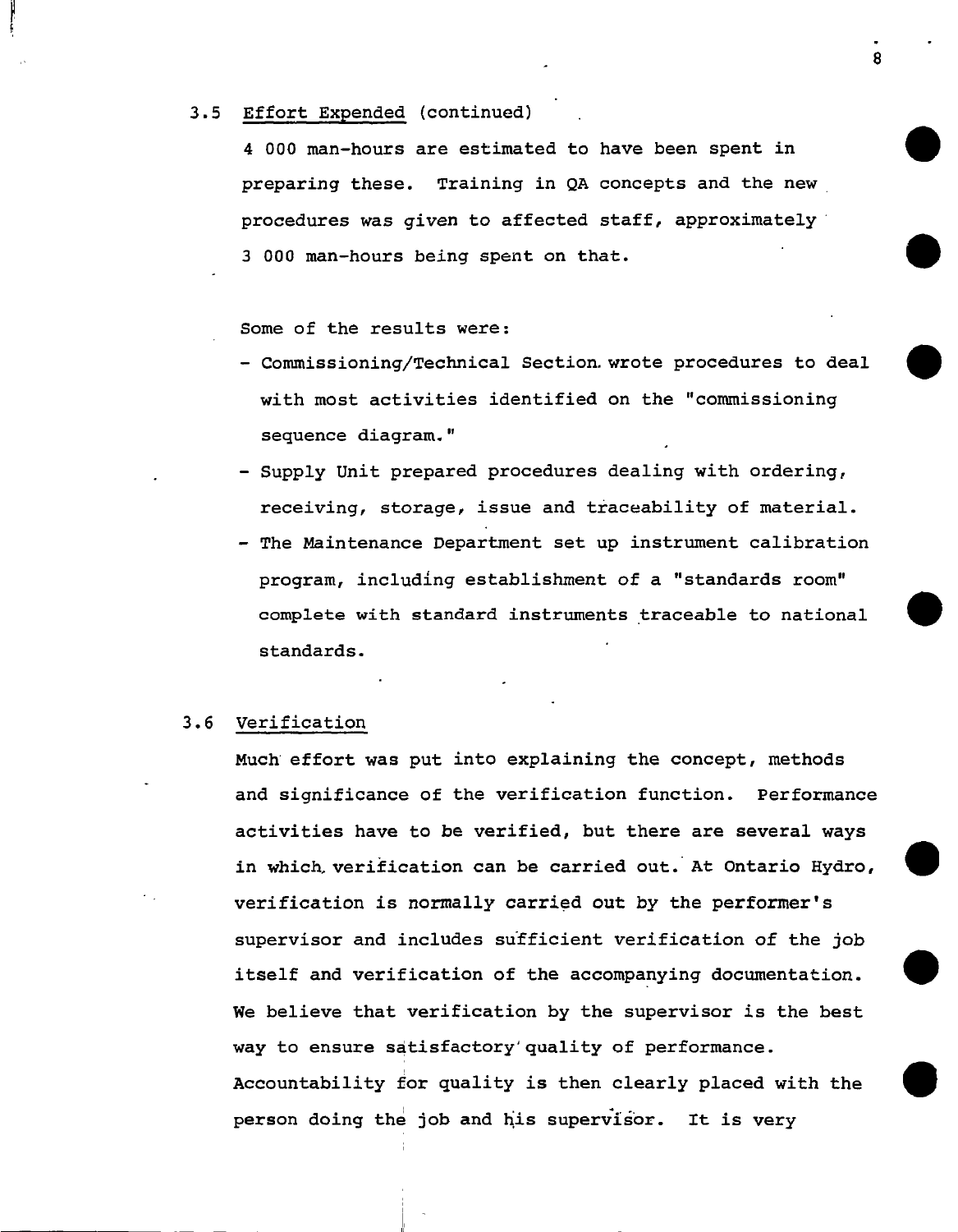#### 3.5 Effort Expended (continued)

4 000 man-hours are estimated to have been spent in preparing these. Training in QA concepts and the new procedures was given to affected staff, approximately 3 000 man-hours being spent on that.

Some of the results were :

- Commissioning/Technical Section, wrote procedures to deal with most activities identified on the "commissioning sequence diagram."
- Supply Unit prepared procedures dealing with ordering, receiving, storage, issue and traceability of material.
- The Maintenance Department set up instrument calibration program, including establishment of a "standards room" complete with standard instruments traceable to national standards.

#### 3.6 Verification

Much effort was put into explaining the concept, methods and significance of the verification function. Performance activities have to be verified, but there are several ways in which, verification can be carried out. At Ontario Hydro, verification is normally carried out by the performer's supervisor and includes sufficient verification of the job itself and verification of the accompanying documentation. We believe that verification by the supervisor is the best way to ensure satisfactory'quality of performance. Accountability for quality is then clearly placed with the person doing the job and his supervisor. It is very

я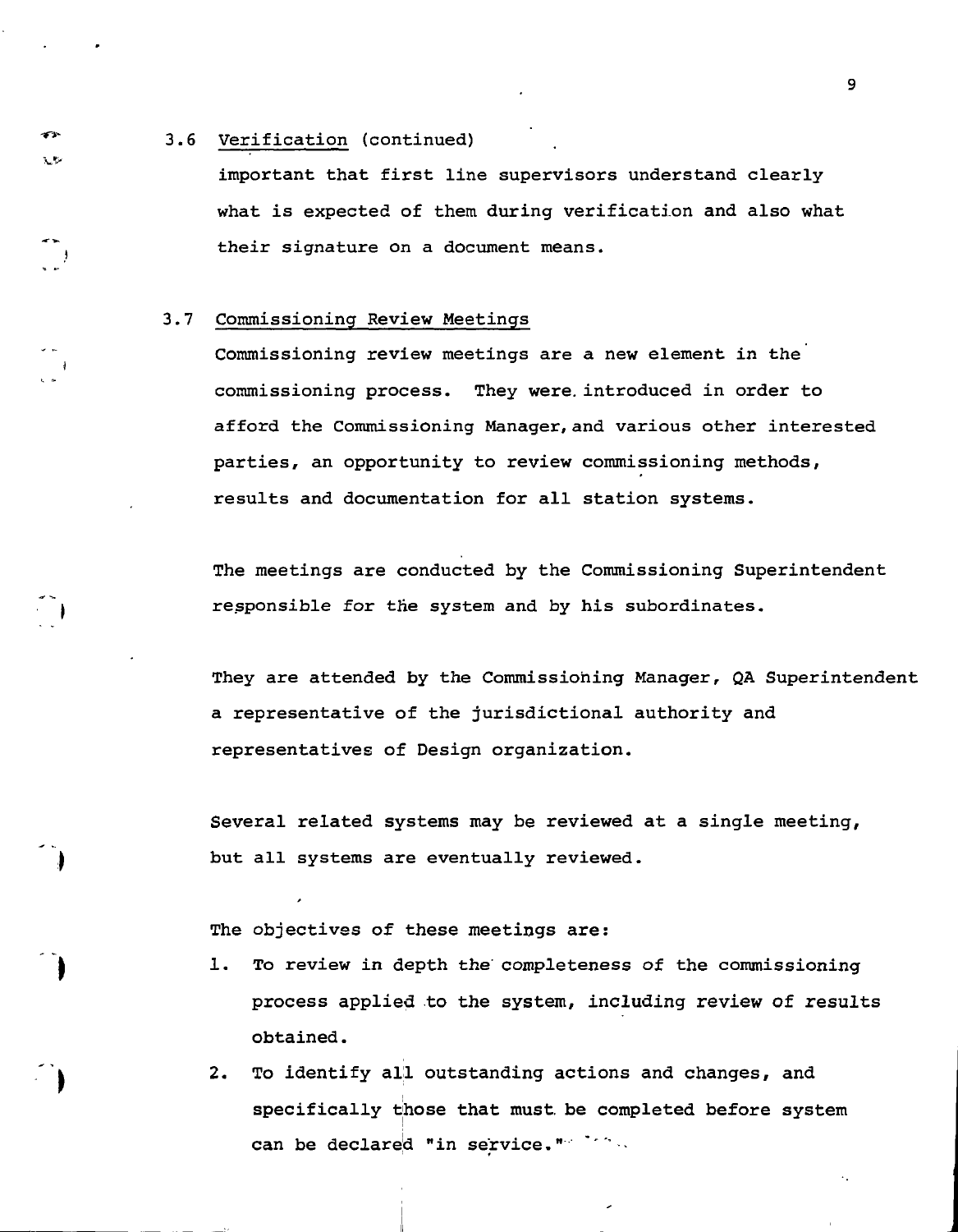#### 3.6 Verification (continued)

æ. ٦Þ

important that first line supervisors understand clearly what is expected of them during verification and also what their signature on a document means.

#### 3.7 Commissioning Review Meetings

Commissioning review meetings are a new element in the commissioning process. They were, introduced in order to afford the Commissioning Manager, and various other interested parties, an opportunity to review commissioning methods, results and documentation for all station systems.

The meetings are conducted by the Commissioning Superintendent responsible for the system and by his subordinates.

They are attended by the Commissioning Manager, QA Superintendent a representative of the jurisdictional authority and representatives of Design organization.

Several related systems may be reviewed at a single meeting, but all systems are eventually reviewed.

The objectives of these meetings are:

- 1. To review in depth the' completeness of the commissioning process applied to the system, including review of results obtained.
- 2. To identify all outstanding actions and changes, and specifically those that must, be completed before system can be declared "in service." \*\*\*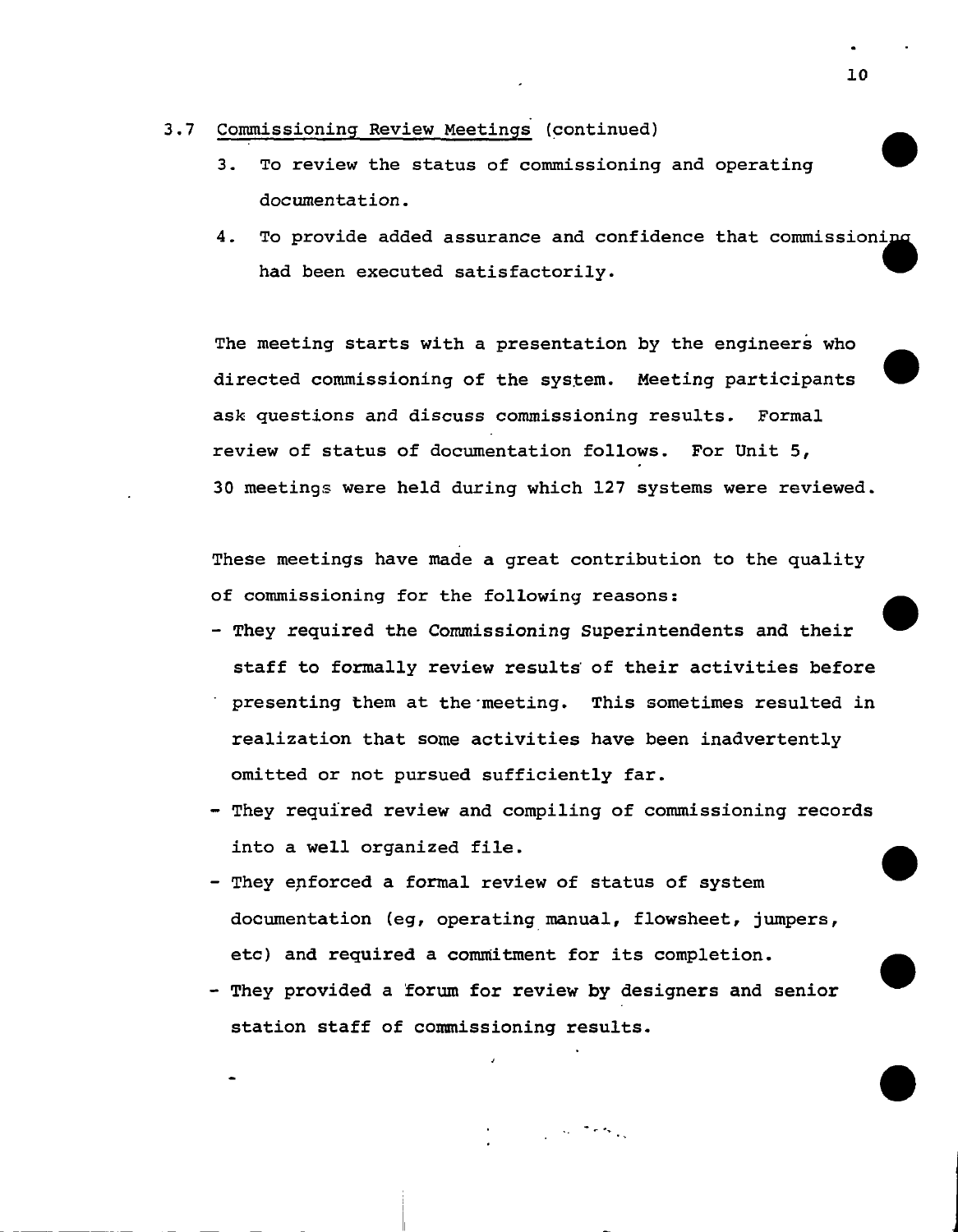#### 3.7 Commissioning Review Meetings (continued)

- 3. To review the status of commissioning and operating documentation.
- 4. To provide added assurance and confidence that commissioning had been executed satisfactorily.

The meeting starts with a presentation by the engineers who directed commissioning of the system. Meeting participants ask questions and discuss commissioning results. Formal review of status of documentation follows. For Unit 5, 30 meetings were held during which 127 systems were reviewed.

These meetings have made a great contribution to the quality of commissioning for the following reasons:

- They required the Commissioning Superintendents and their staff to formally review results' of their activities before presenting them at the meeting. This sometimes resulted in realization that some activities have been inadvertently omitted or not pursued sufficiently far.
- They required review and compiling of commissioning records into a well organized file.
- They enforced a formal review of status of system documentation (eg, operating manual, flowsheet, jumpers, etc) and required a commitment for its completion.
- They provided a forum for review by designers and senior station staff of commissioning results.

 $\mathcal{L}_{\rm{max}}$  , where  $\mathcal{L}_{\rm{max}}$ 

10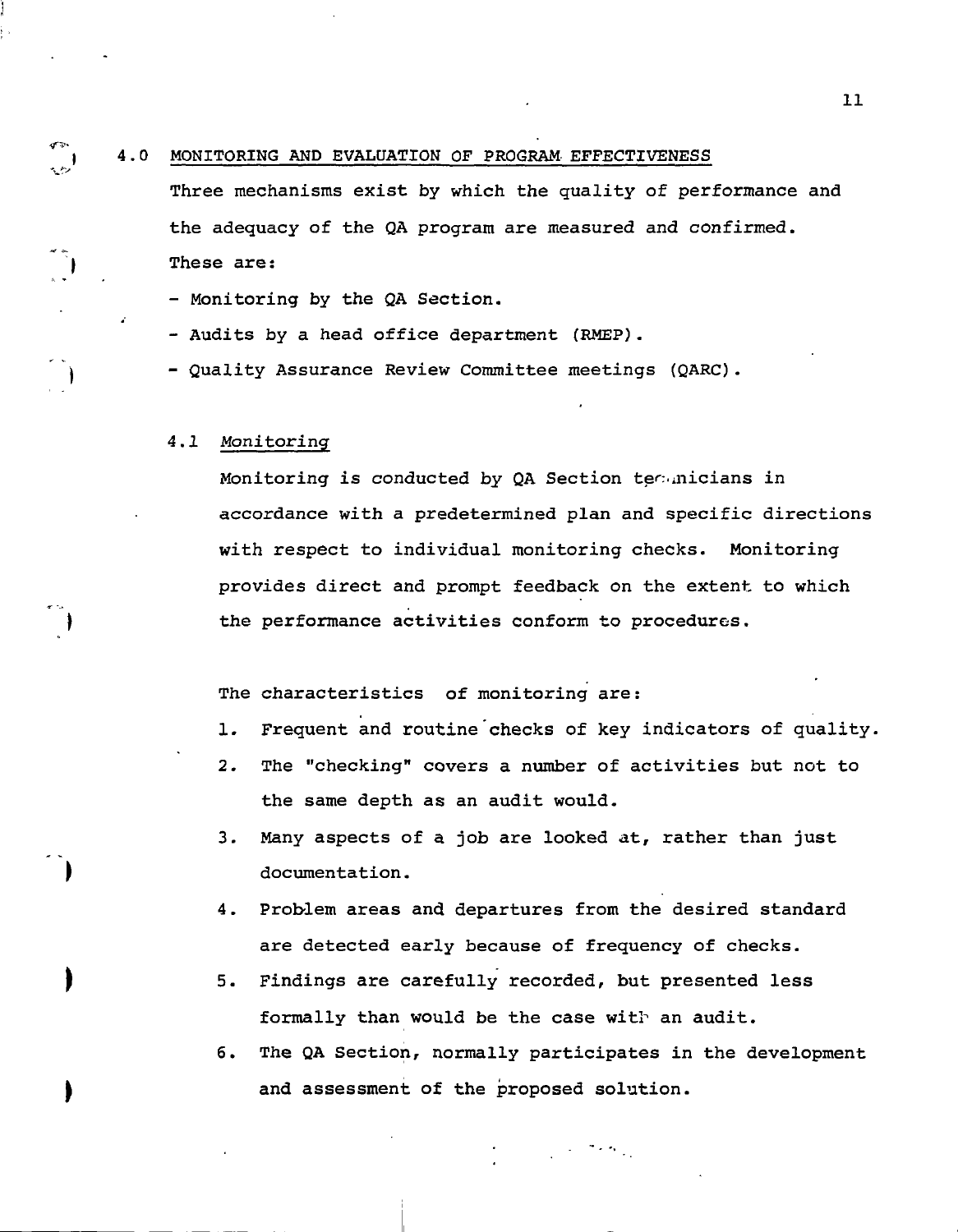#### 4.0 MONITORING AND EVALUATION OF PROGRAM EFFECTIVENESS

Three mechanisms exist by which the quality of performance and the adequacy of the QA program are measured and confirmed. These are:

- Monitoring by the QA Section.

- Audits by a head office department (RMEP).

- Quality Assurance Review Committee meetings (QARC).

#### 4.1 Monitoring

ም።  $\frac{1}{2}$ 

> Monitoring is conducted by QA Section technicians in accordance with a predetermined plan and specific directions with respect to individual monitoring checks. Monitoring provides direct and prompt feedback on the extent to which the performance activities conform to procedures.

The characteristics of monitoring are:

- 1. Frequent and routine checks of key indicators of quality.
- 2. The "checking" covers a number of activities but not to the same depth as an audit would.
- 3. Many aspects of a job are looked at, rather than just documentation.
- 4. Problem areas and departures from the desired standard are detected early because of frequency of checks.
- 5. Findings are carefully recorded, but presented less formally than would be the case with an audit.
- 6. The QA Section, normally participates in the development and assessment of the proposed solution.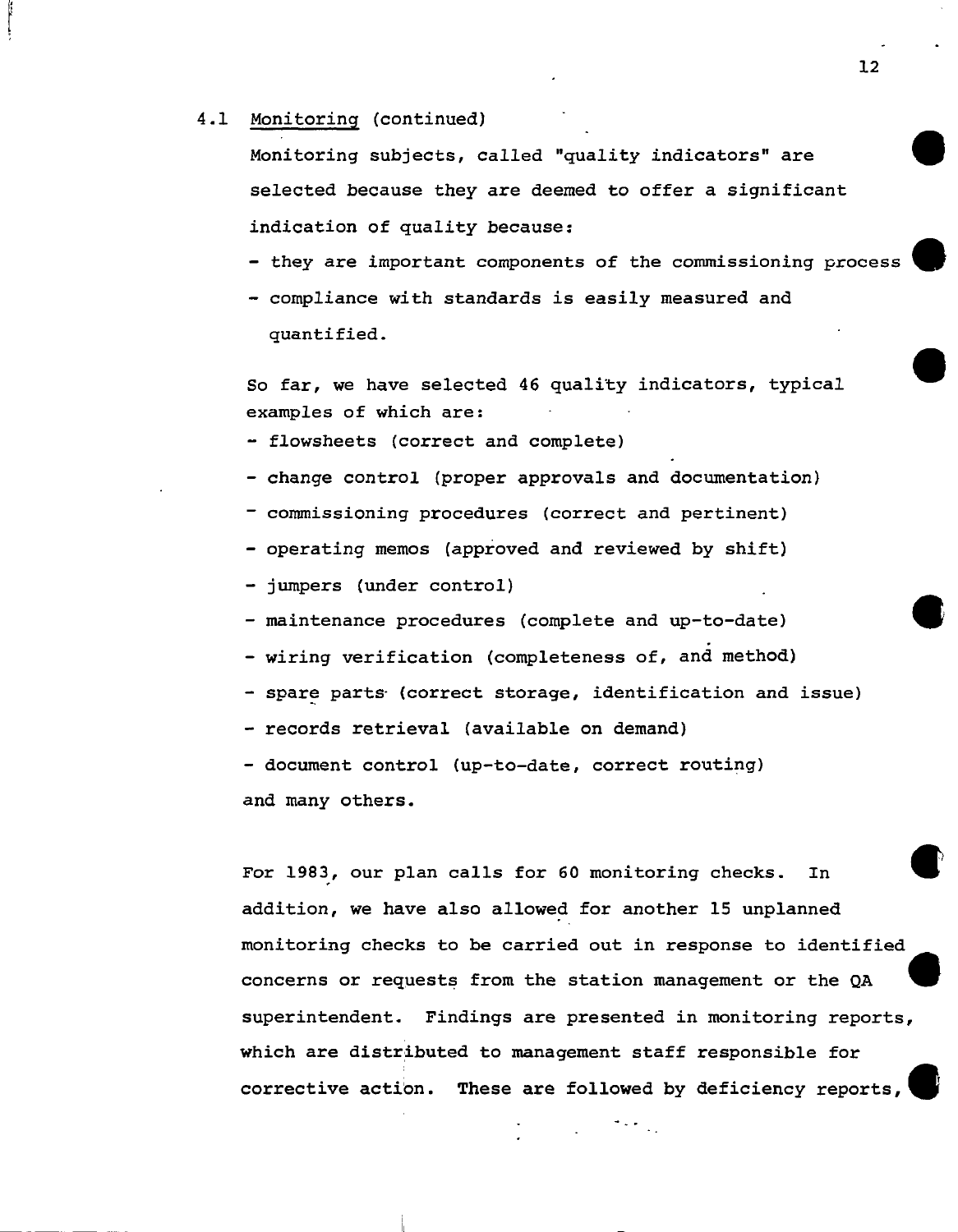#### 4.1 Monitoring (continued)

Monitoring subjects, called "quality indicators" are selected because they are deemed to offer a significant indication of quality because:

- they are important components of the commissioning process

- compliance with standards is easily measured and quantified.

So far, we have selected 46 quality indicators, typical examples of which are:

- flowsheets (correct and complete)

- change control (proper approvals and documentation)

- commissioning procedures (correct and pertinent)
- operating memos (approved and reviewed by shift)
- jumpers (under control)
- maintenance procedures (complete and up-to-date)
- wiring verification (completeness of, and method)
- spare parts (correct storage, identification and issue)
- records retrieval (available on demand)

- document control (up-to-date, correct routing) and many others.

For 1983, our plan calls for 60 monitoring checks. In addition, we have also allowed for another 15 unplanned monitoring checks to be carried out in response to identified concerns or requests from the station management or the QA superintendent. Findings are presented in monitoring reports, which are distributed to management staff responsible for corrective actibn. These are followed by deficiency reports,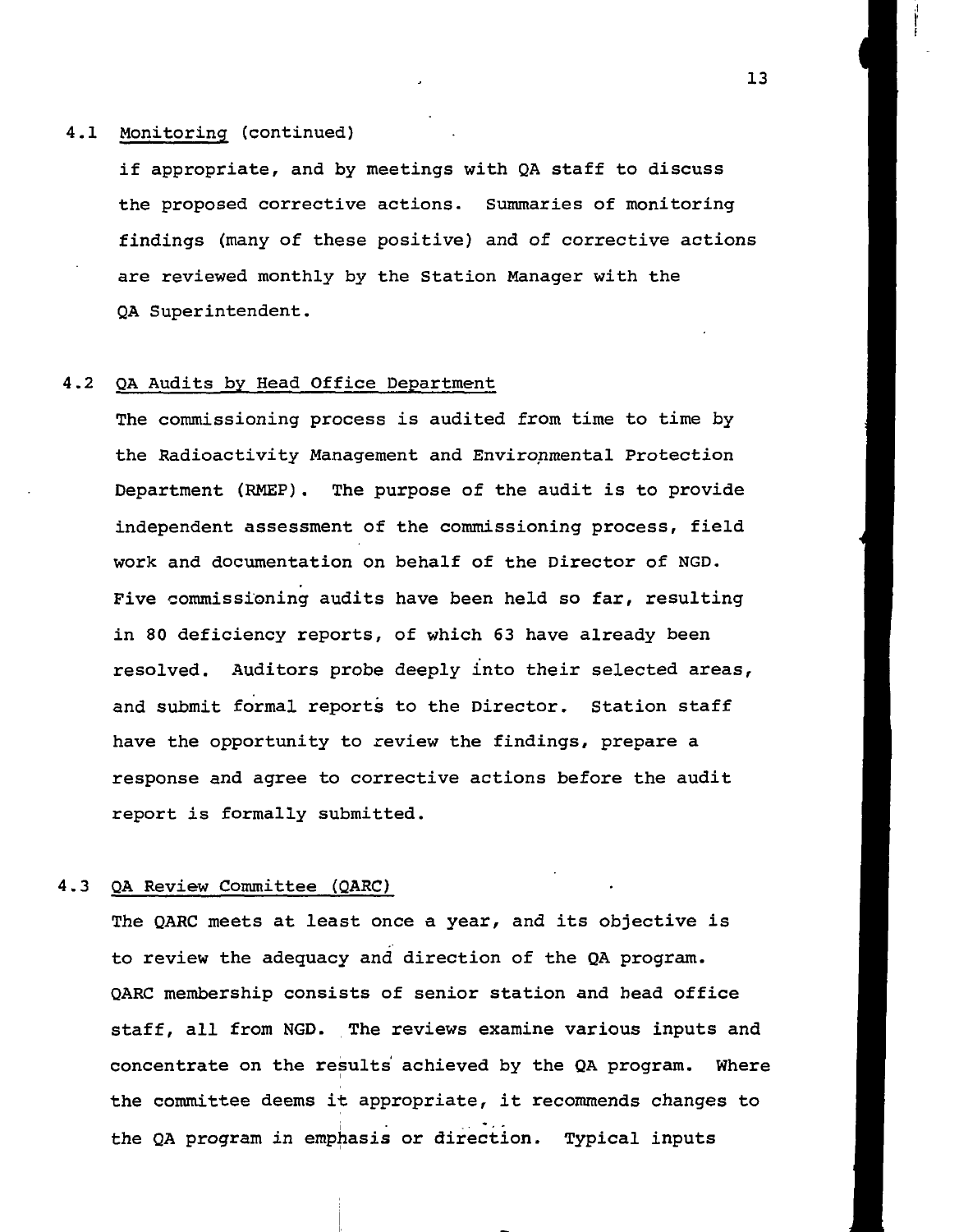### 4.1 Monitoring (continued)

if appropriate, and by meetings with QA staff to discuss the proposed corrective actions. Summaries of monitoring findings (many of these positive) and of corrective actions are reviewed monthly by the Station Manager with the QA Superintendent.

### 4.2 QA Audits by Head Office Department

The commissioning process is audited from time to time by the Radioactivity Management and Environmental Protection Department (RMEP). The purpose of the audit is to provide independent assessment of the commissioning process, field work and documentation on behalf of the Director of NGD. Five commissioning audits have been held so far, resulting in 80 deficiency reports, of which 63 have already been resolved. Auditors probe deeply into their selected areas, and submit formal reports to the Director. Station staff have the opportunity to review the findings, prepare a response and agree to corrective actions before the audit report is formally submitted.

#### 4.3 QA Review Committee (QARC)

The QARC meets at least once a year, and its objective is to review the adequacy and direction of the QA program. QARC membership consists of senior station and head office staff, all from NGD. The reviews examine various inputs and concentrate on the results achieved by the QA program. Where the committee deems it appropriate, it recommends changes to the QA program in emphasis or direction. Typical inputs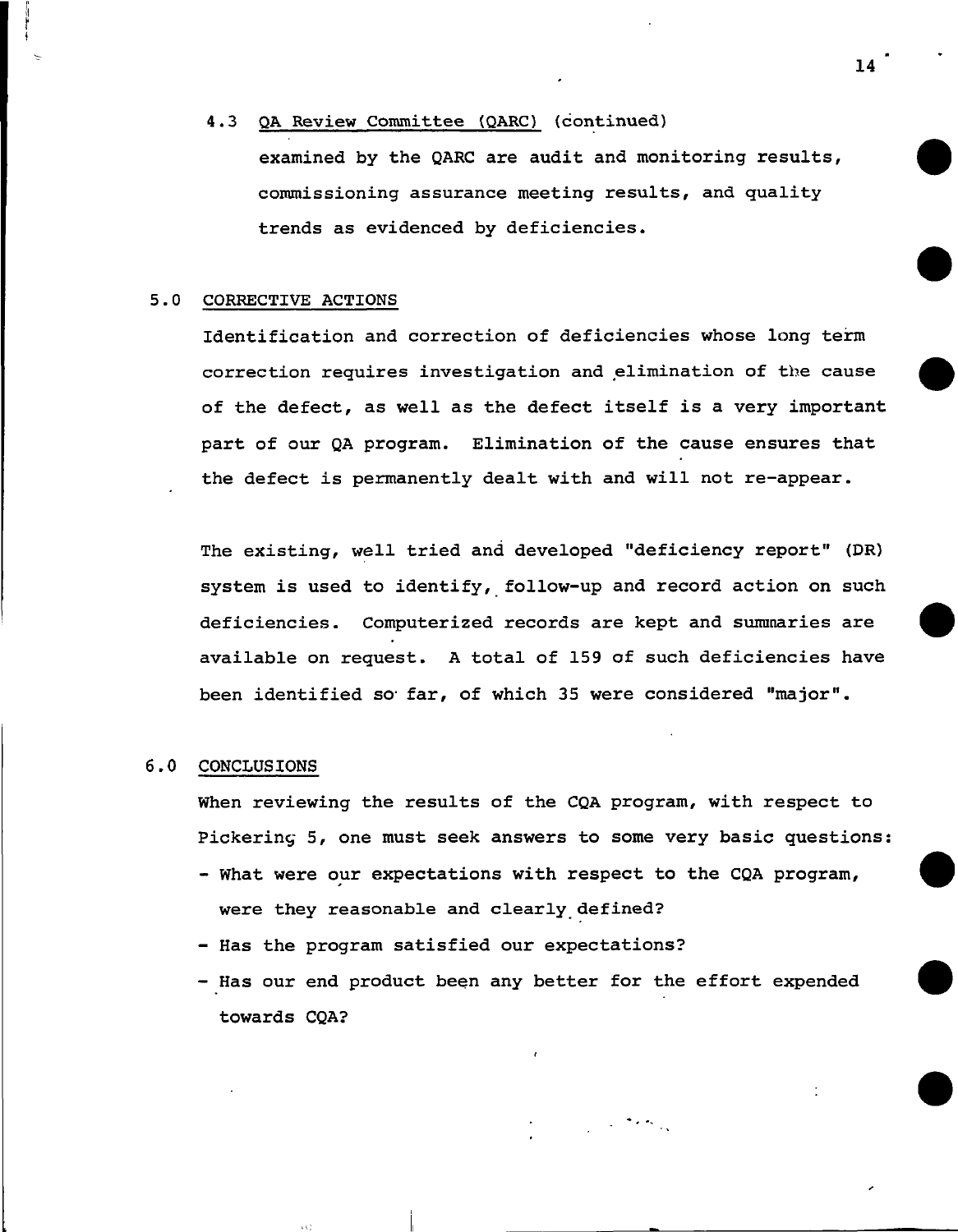### 4.3 QA Review Committee (QARC) (continued)

examined by the QARC are audit and monitoring results, commissioning assurance meeting results, and quality trends as evidenced by deficiencies.

### 5.0 CORRECTIVE ACTIONS

Identification and correction of deficiencies whose long term correction requires investigation and elimination of the cause of the defect, as well as the defect itself is a very important part of our QA program. Elimination of the cause ensures that the defect is permanently dealt with and will not re-appear.

The existing, well tried and developed "deficiency report" (DR) system is used to identify, follow-up and record action on such deficiencies. Computerized records are kept and summaries are available on request. A total of 159 of such deficiencies have been identified so- far, of which 35 were considered "major".

### 6.0 CONCLUSIONS

When reviewing the results of the CQA program, with respect to Pickering 5, one must seek answers to some very basic questions:

- What were our expectations with respect to the CQA program, were they reasonable and clearly defined?
- Has the program satisfied our expectations?
- Has our end product been any better for the effort expended towards CQA?

14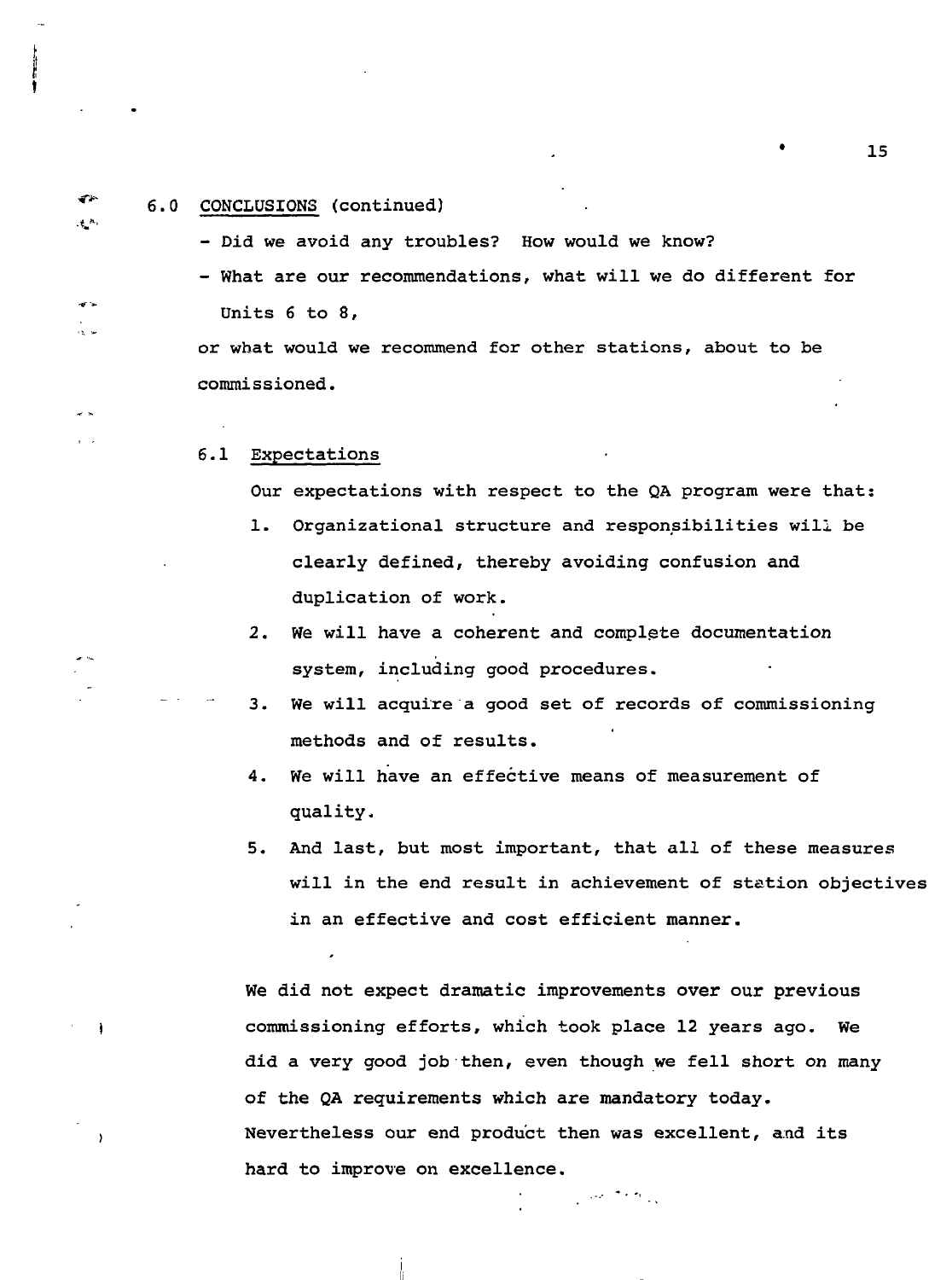# \*\*" 6.0 CONCLUSIONS (continued)

 $\mathfrak{t}$  .

 $\mathbf{r}$ س ال - Did we avoid any troubles? How would we know?

- What are our recommendations, what will we do different for Units 6 to 8,

or what would we recommend for other stations, about to be commissioned.

### 6.1 Expectations

Our expectations with respect to the QA program were that:

- 1. Organizational structure and responsibilities will be clearly defined, thereby avoiding confusion and duplication of work.
- 2. We will have a coherent and complete documentation system, including good procedures.
- 3. We will acquire a good set of records of commissioning methods and of results.
- 4. We will have an effective means of measurement of quality.
- 5. And last, but most important, that all of these measures will in the end result in achievement of station objectives in an effective and cost efficient manner.

We did not expect dramatic improvements over our previous commissioning efforts, which took place 12 years ago. We did a very good job then, even though we fell short on many of the QA requirements which are mandatory today. Nevertheless our end product then was excellent, and its hard to improve on excellence.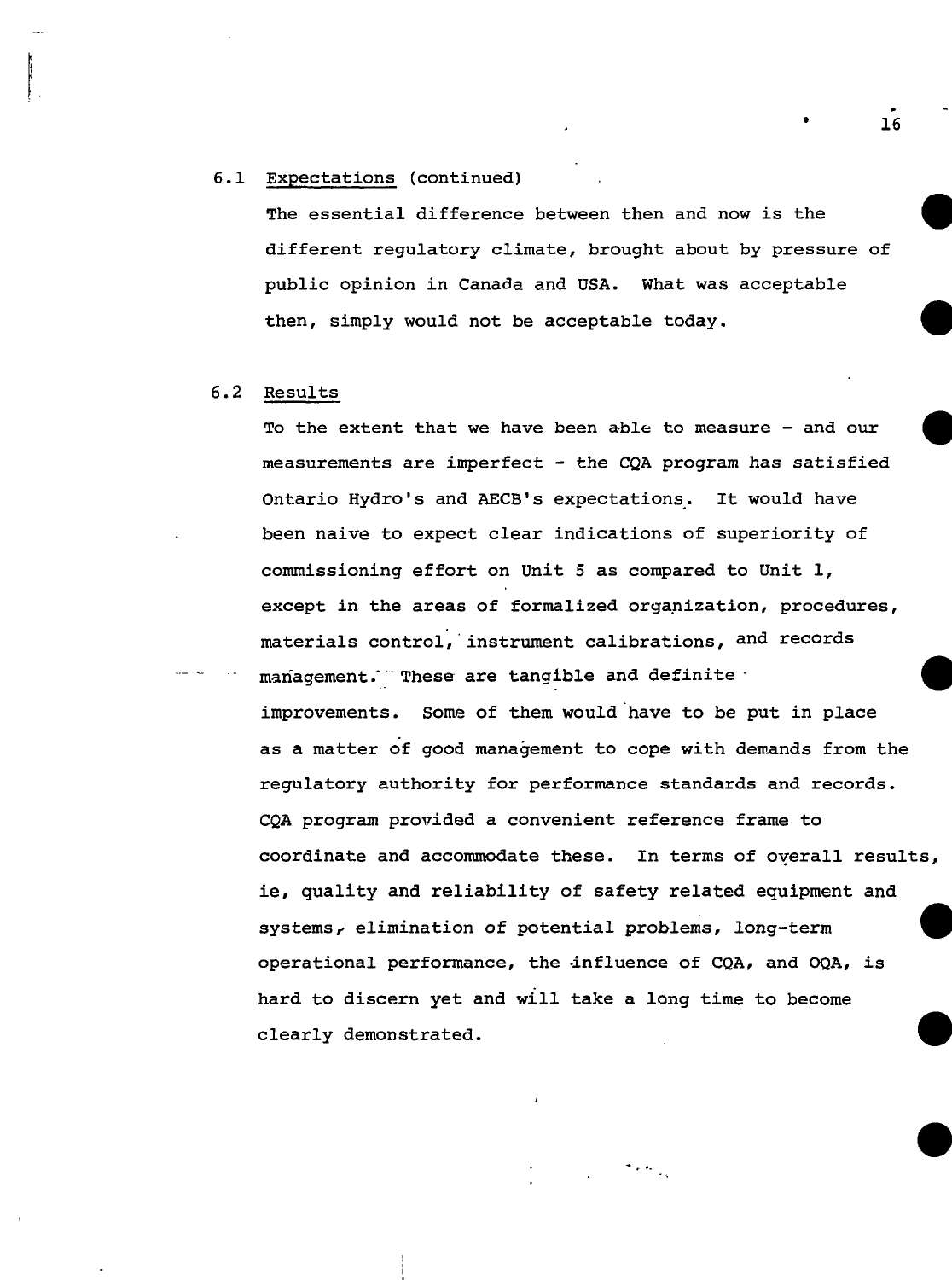# 6.1 Expectations (continued)

The essential difference between then and now is the different regulatory climate, brought about by pressure of public opinion in Canada and USA. What was acceptable then, simply would not be acceptable today.

# 6.2 Results

To the extent that we have been able to measure - and our measurements are imperfect - the CQA program has satisfied Ontario Hydro's and AECB's expectations. It would have been naive to expect clear indications of superiority of commissioning effort on Unit 5 as compared to Unit 1, except in the areas of formalized organization, procedures, materials control, instrument calibrations, and records management. These are tangible and definite  $\cdot$ 

improvements. Some of them would have to be put in place as a matter of good management to cope with demands from the regulatory authority for performance standards and records. CQA program provided a convenient reference frame to coordinate and accommodate these. In terms of overall results, ie, quality and reliability of safety related equipment and systems, elimination of potential problems, long-term operational performance, the influence of CQA, and OQA, is hard to discern yet and will take a long time to become clearly demonstrated.

• 16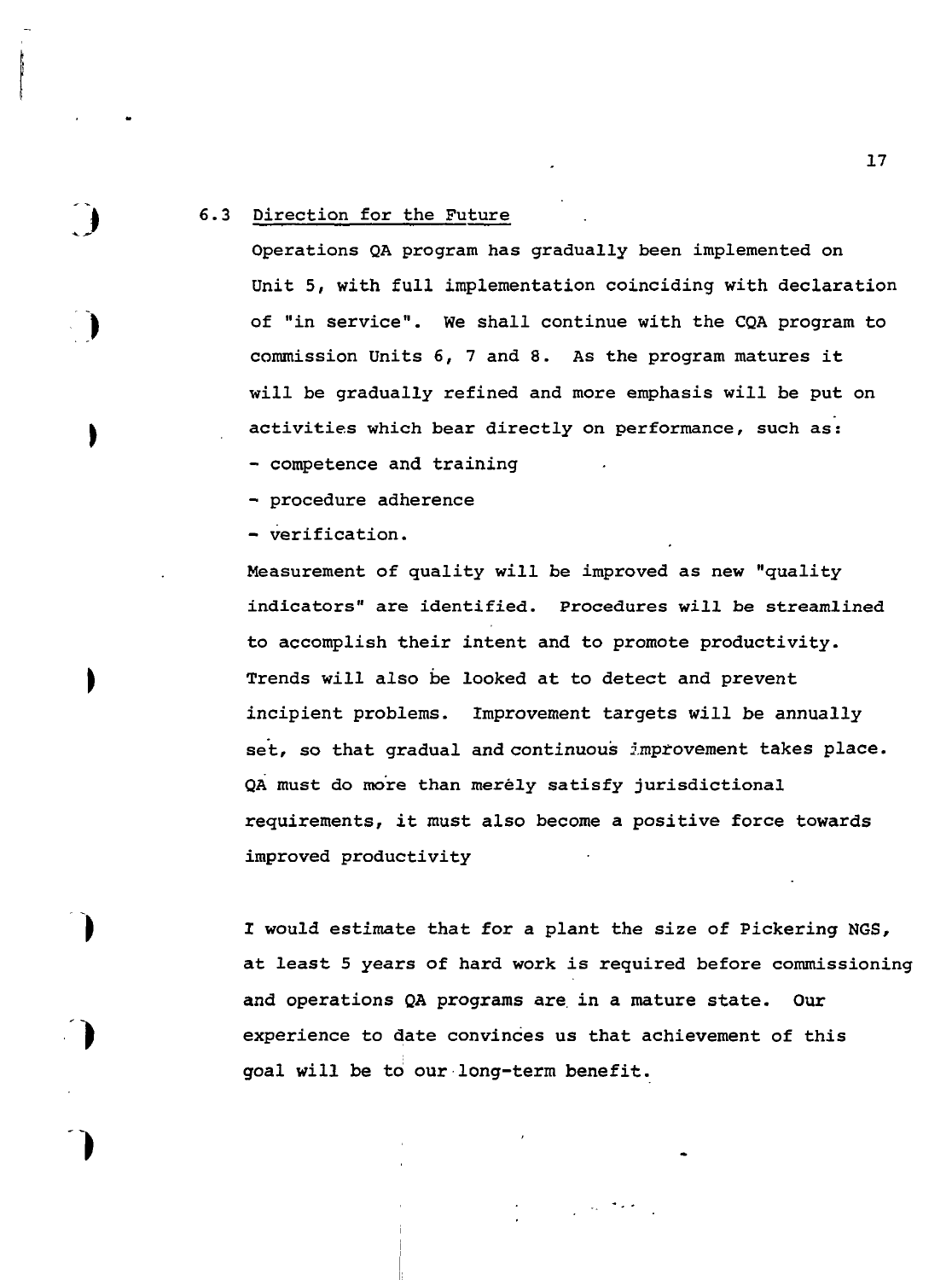### 6.3 Direction for the Future

Operations QA program has gradually been implemented on Unit 5, with full implementation coinciding with declaration of "in service". We shall continue with the CQA program to commission Units 6, 7 and 8. As the program matures it will be gradually refined and more emphasis will be put on activities which bear directly on performance, such as:

- competence and training

- procedure adherence

- verification.

Measurement of quality will be improved as new "quality indicators" are identified. Procedures will be streamlined to accomplish their intent and to promote productivity. Trends will also be looked at to detect and prevent incipient problems. Improvement targets will be annually set, so that gradual and continuous improvement takes place. QÀ must do more than merely satisfy jurisdictional requirements, it must also become a positive force towards improved productivity

I would estimate that for a plant the size of Pickering NGS, at least 5 years of hard work is required before commissioning and operations QA programs are in a mature state. Our experience to date convinces us that achievement of this goal will be to our long-term benefit.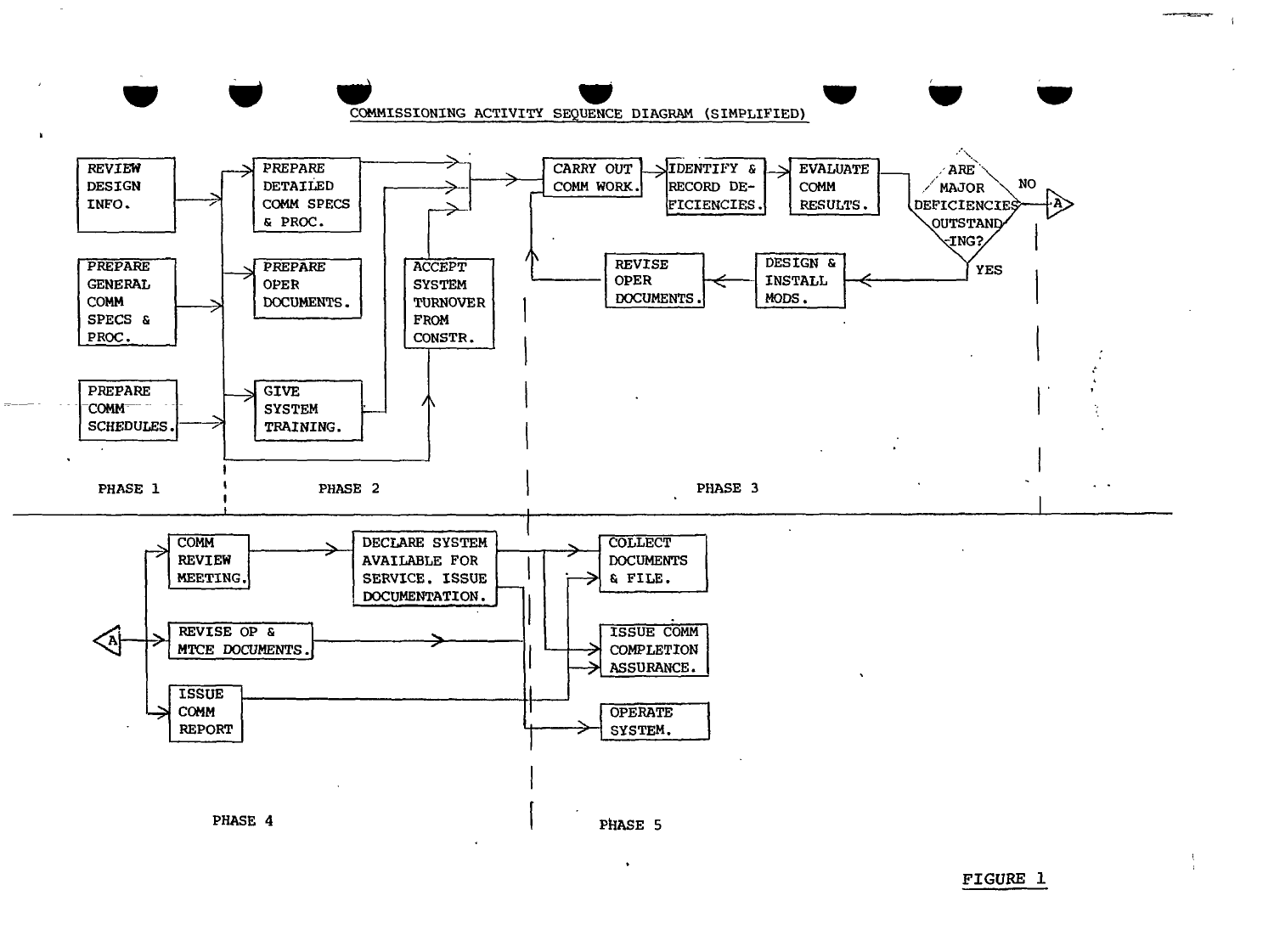

FIGURE 1

--------

 $\overline{\mathbf{1}}$